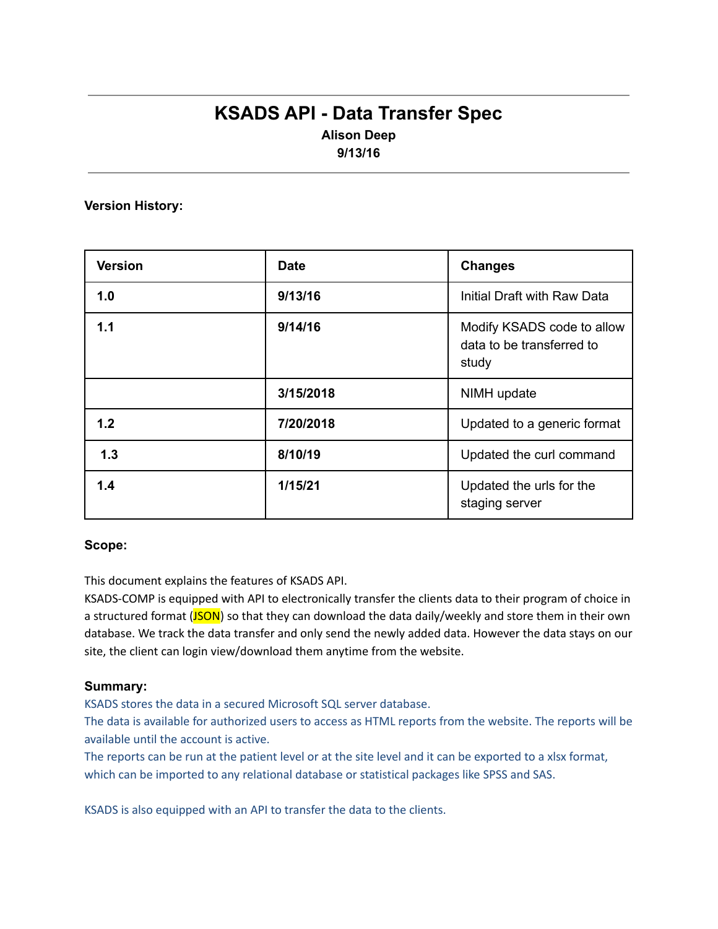# **KSADS API - Data Transfer Spec Alison Deep**

**9/13/16**

**Version History:**

| <b>Version</b> | <b>Date</b> | <b>Changes</b>                                                   |
|----------------|-------------|------------------------------------------------------------------|
| 1.0            | 9/13/16     | Initial Draft with Raw Data                                      |
| 1.1            | 9/14/16     | Modify KSADS code to allow<br>data to be transferred to<br>study |
|                | 3/15/2018   | NIMH update                                                      |
| 1.2            | 7/20/2018   | Updated to a generic format                                      |
| 1.3            | 8/10/19     | Updated the curl command                                         |
| 1.4            | 1/15/21     | Updated the urls for the<br>staging server                       |

### **Scope:**

This document explains the features of KSADS API.

KSADS-COMP is equipped with API to electronically transfer the clients data to their program of choice in a structured format (JSON) so that they can download the data daily/weekly and store them in their own database. We track the data transfer and only send the newly added data. However the data stays on our site, the client can login view/download them anytime from the website.

### **Summary:**

KSADS stores the data in a secured Microsoft SQL server database.

The data is available for authorized users to access as HTML reports from the website. The reports will be available until the account is active.

The reports can be run at the patient level or at the site level and it can be exported to a xlsx format, which can be imported to any relational database or statistical packages like SPSS and SAS.

KSADS is also equipped with an API to transfer the data to the clients.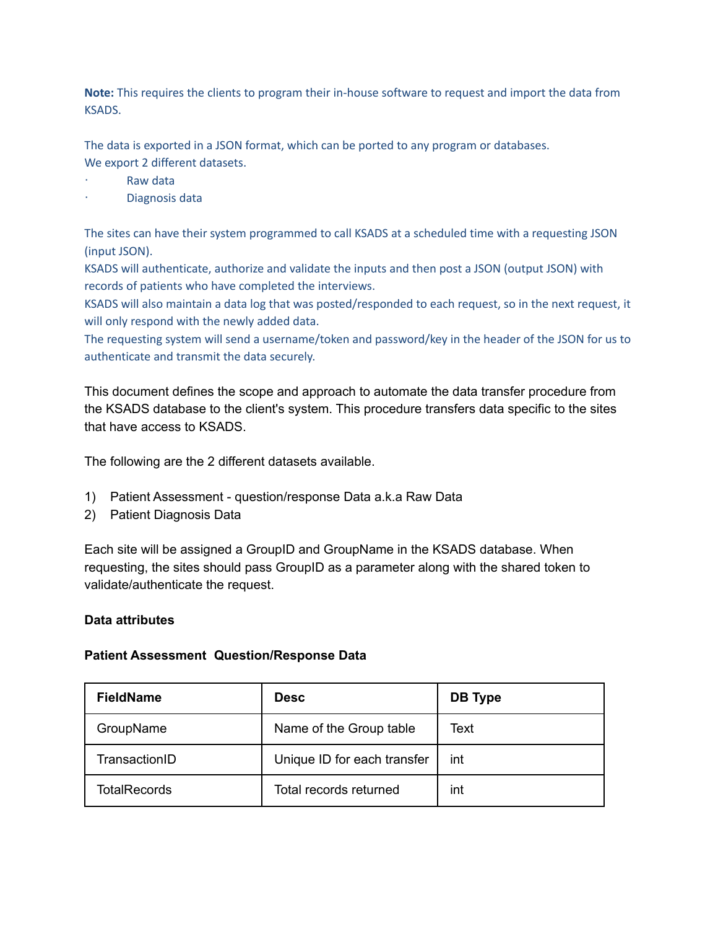**Note:** This requires the clients to program their in-house software to request and import the data from KSADS.

The data is exported in a JSON format, which can be ported to any program or databases. We export 2 different datasets.

- Raw data
- Diagnosis data

The sites can have their system programmed to call KSADS at a scheduled time with a requesting JSON (input JSON).

KSADS will authenticate, authorize and validate the inputs and then post a JSON (output JSON) with records of patients who have completed the interviews.

KSADS will also maintain a data log that was posted/responded to each request, so in the next request, it will only respond with the newly added data.

The requesting system will send a username/token and password/key in the header of the JSON for us to authenticate and transmit the data securely.

This document defines the scope and approach to automate the data transfer procedure from the KSADS database to the client's system. This procedure transfers data specific to the sites that have access to KSADS.

The following are the 2 different datasets available.

- 1) Patient Assessment question/response Data a.k.a Raw Data
- 2) Patient Diagnosis Data

Each site will be assigned a GroupID and GroupName in the KSADS database. When requesting, the sites should pass GroupID as a parameter along with the shared token to validate/authenticate the request.

### **Data attributes**

### **Patient Assessment Question/Response Data**

| <b>FieldName</b>    | <b>Desc</b>                 | DB Type |
|---------------------|-----------------------------|---------|
| GroupName           | Name of the Group table     | Text    |
| TransactionID       | Unique ID for each transfer | int     |
| <b>TotalRecords</b> | Total records returned      | int     |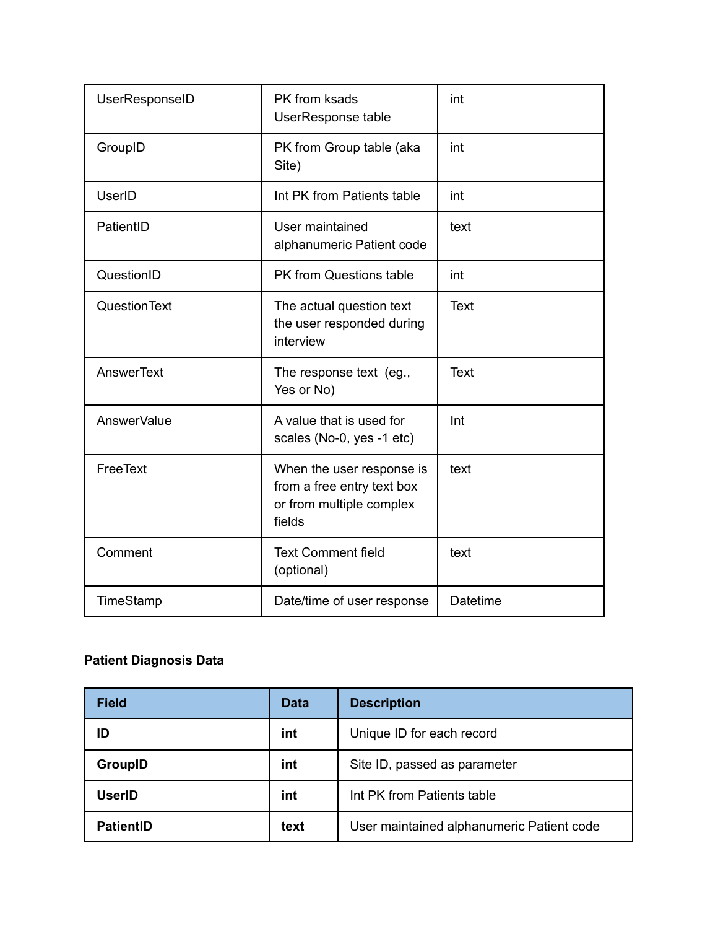| UserResponseID | PK from ksads<br>UserResponse table                                                           | int         |
|----------------|-----------------------------------------------------------------------------------------------|-------------|
| GroupID        | PK from Group table (aka<br>Site)                                                             | int         |
| <b>UserID</b>  | Int PK from Patients table                                                                    | int         |
| PatientID      | User maintained<br>alphanumeric Patient code                                                  | text        |
| QuestionID     | PK from Questions table                                                                       | int         |
| QuestionText   | The actual question text<br>the user responded during<br>interview                            | Text        |
| AnswerText     | The response text (eg.,<br>Yes or No)                                                         | <b>Text</b> |
| AnswerValue    | A value that is used for<br>scales (No-0, yes -1 etc)                                         | Int         |
| FreeText       | When the user response is<br>from a free entry text box<br>or from multiple complex<br>fields | text        |
| Comment        | <b>Text Comment field</b><br>(optional)                                                       | text        |
| TimeStamp      | Date/time of user response                                                                    | Datetime    |

# **Patient Diagnosis Data**

| <b>Field</b>     | <b>Data</b> | <b>Description</b>                        |
|------------------|-------------|-------------------------------------------|
| ID               | int         | Unique ID for each record                 |
| <b>GroupID</b>   | int         | Site ID, passed as parameter              |
| <b>UserID</b>    | int         | Int PK from Patients table                |
| <b>PatientID</b> | text        | User maintained alphanumeric Patient code |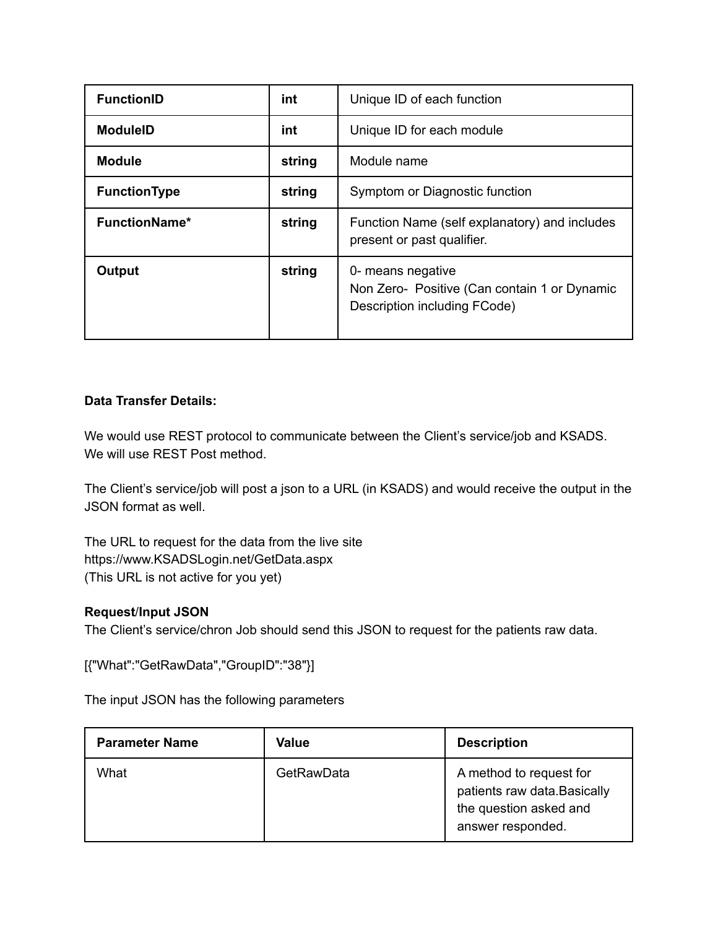| <b>FunctionID</b>    | int    | Unique ID of each function                                                                        |
|----------------------|--------|---------------------------------------------------------------------------------------------------|
| <b>ModuleID</b>      | int    | Unique ID for each module                                                                         |
| <b>Module</b>        | string | Module name                                                                                       |
| <b>FunctionType</b>  | string | Symptom or Diagnostic function                                                                    |
| <b>FunctionName*</b> | string | Function Name (self explanatory) and includes<br>present or past qualifier.                       |
| Output               | string | 0- means negative<br>Non Zero- Positive (Can contain 1 or Dynamic<br>Description including FCode) |

### **Data Transfer Details:**

We would use REST protocol to communicate between the Client's service/job and KSADS. We will use REST Post method.

The Client's service/job will post a json to a URL (in KSADS) and would receive the output in the JSON format as well.

The URL to request for the data from the live site https://www.KSADSLogin.net/GetData.aspx (This URL is not active for you yet)

### **Request**/**Input JSON**

The Client's service/chron Job should send this JSON to request for the patients raw data.

[{"What":"GetRawData","GroupID":"38"}]

The input JSON has the following parameters

| <b>Parameter Name</b> | <b>Value</b> | <b>Description</b>                                                                                     |
|-----------------------|--------------|--------------------------------------------------------------------------------------------------------|
| What                  | GetRawData   | A method to request for<br>patients raw data. Basically<br>the question asked and<br>answer responded. |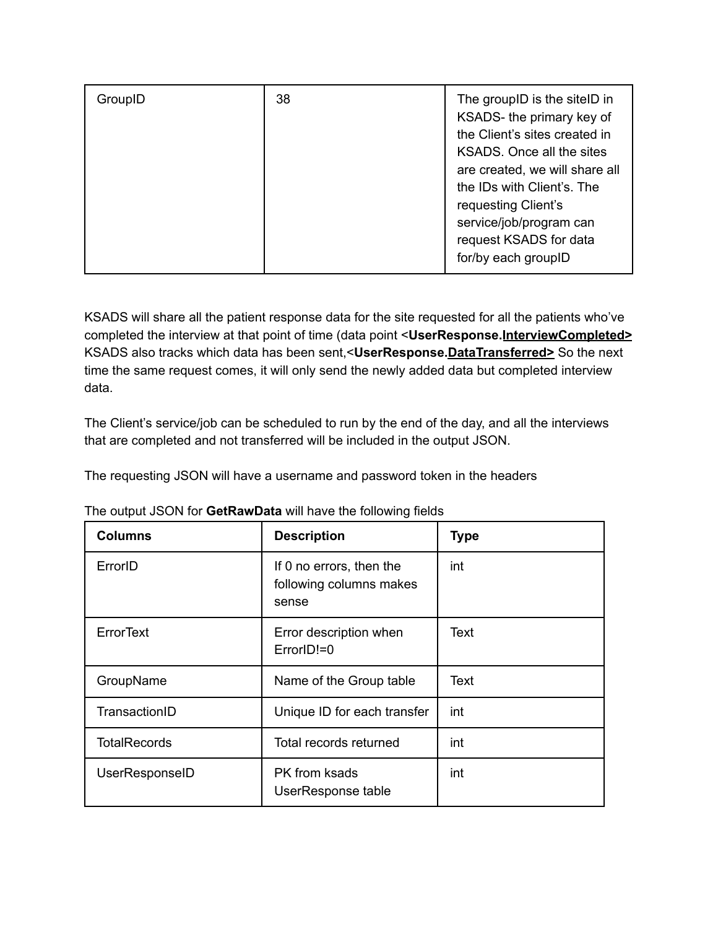| GroupID | 38 | The groupID is the siteID in<br>KSADS- the primary key of<br>the Client's sites created in<br>KSADS. Once all the sites<br>are created, we will share all<br>the IDs with Client's. The<br>requesting Client's<br>service/job/program can<br>request KSADS for data |
|---------|----|---------------------------------------------------------------------------------------------------------------------------------------------------------------------------------------------------------------------------------------------------------------------|
|         |    | for/by each groupID                                                                                                                                                                                                                                                 |

KSADS will share all the patient response data for the site requested for all the patients who've completed the interview at that point of time (data point <**UserResponse.InterviewCompleted>** KSADS also tracks which data has been sent,<**UserResponse.DataTransferred>** So the next time the same request comes, it will only send the newly added data but completed interview data.

The Client's service/job can be scheduled to run by the end of the day, and all the interviews that are completed and not transferred will be included in the output JSON.

The requesting JSON will have a username and password token in the headers

| <b>Columns</b>      | <b>Description</b>                                           | <b>Type</b> |
|---------------------|--------------------------------------------------------------|-------------|
| ErrorID             | If 0 no errors, then the<br>following columns makes<br>sense | int         |
| ErrorText           | Error description when<br>ErrorID!=0                         | Text        |
| GroupName           | Name of the Group table                                      | Text        |
| TransactionID       | Unique ID for each transfer                                  | int         |
| <b>TotalRecords</b> | Total records returned                                       | int         |
| UserResponseID      | PK from ksads<br>UserResponse table                          | int         |

The output JSON for **GetRawData** will have the following fields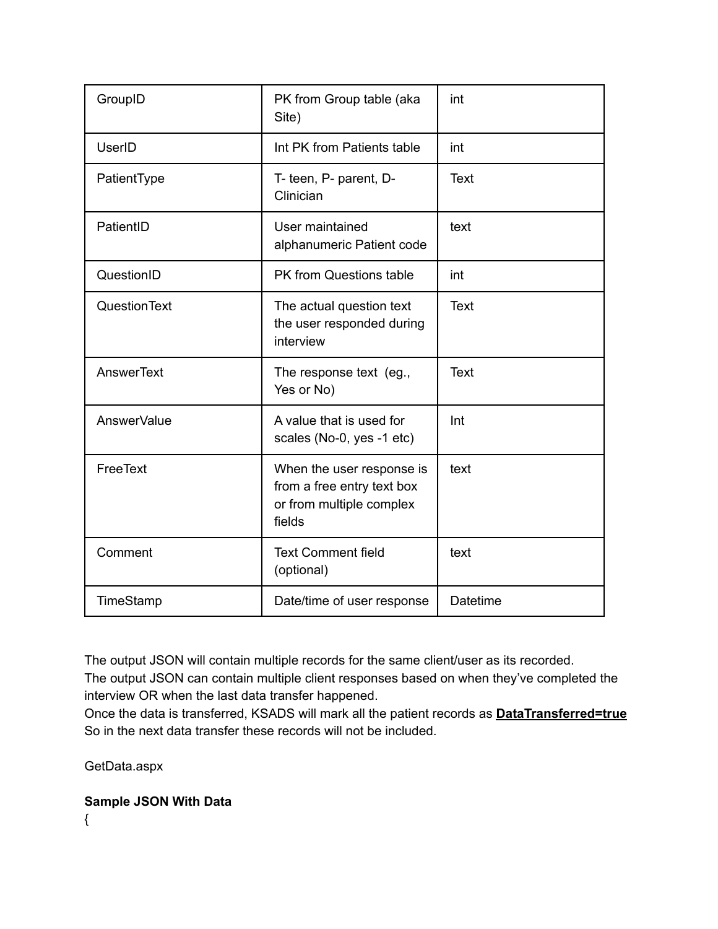| GroupID       | PK from Group table (aka<br>Site)                                                             | int         |
|---------------|-----------------------------------------------------------------------------------------------|-------------|
| <b>UserID</b> | Int PK from Patients table                                                                    | int         |
| PatientType   | T- teen, P- parent, D-<br>Clinician                                                           | Text        |
| PatientID     | User maintained<br>alphanumeric Patient code                                                  | text        |
| QuestionID    | PK from Questions table                                                                       | int         |
| QuestionText  | The actual question text<br>the user responded during<br>interview                            | Text        |
| AnswerText    | The response text (eg.,<br>Yes or No)                                                         | <b>Text</b> |
| AnswerValue   | A value that is used for<br>scales (No-0, yes -1 etc)                                         | Int         |
| FreeText      | When the user response is<br>from a free entry text box<br>or from multiple complex<br>fields | text        |
| Comment       | <b>Text Comment field</b><br>(optional)                                                       | text        |
| TimeStamp     | Date/time of user response                                                                    | Datetime    |

The output JSON will contain multiple records for the same client/user as its recorded.

The output JSON can contain multiple client responses based on when they've completed the interview OR when the last data transfer happened.

Once the data is transferred, KSADS will mark all the patient records as **DataTransferred=true** So in the next data transfer these records will not be included.

GetData.aspx

**Sample JSON With Data**

{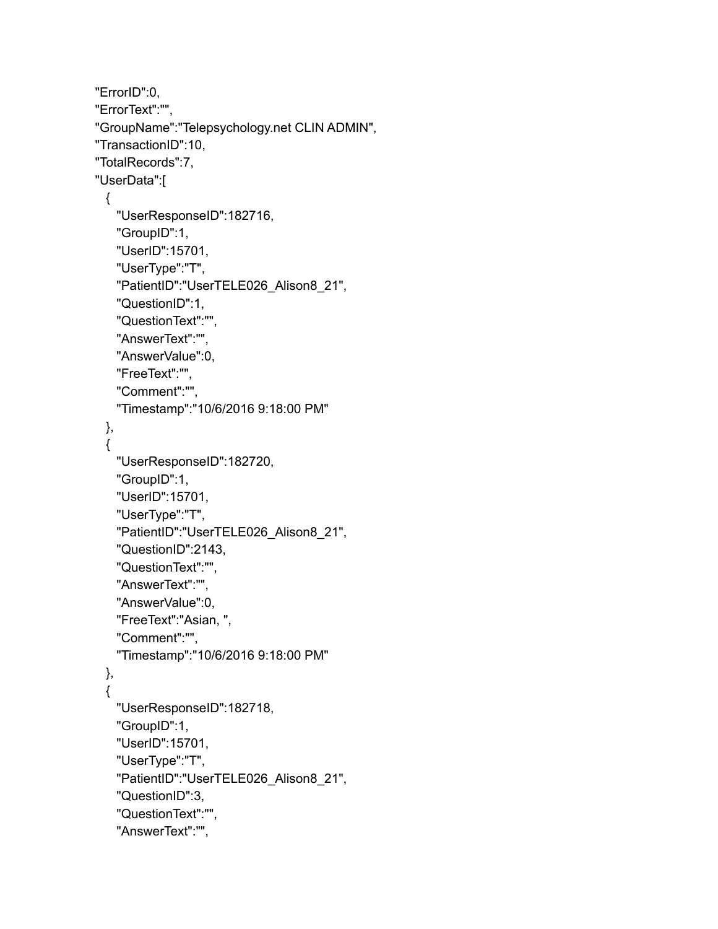```
"ErrorID":0,
"ErrorText":"",
"GroupName":"Telepsychology.net CLIN ADMIN",
"TransactionID":10,
"TotalRecords":7,
"UserData":[
 \left\{ \right."UserResponseID":182716,
   "GroupID":1,
   "UserID":15701,
   "UserType":"T",
   "PatientID":"UserTELE026_Alison8_21",
   "QuestionID":1,
   "QuestionText":"",
   "AnswerText":"",
   "AnswerValue":0,
   "FreeText":"",
   "Comment":"",
   "Timestamp":"10/6/2016 9:18:00 PM"
 },
 {
   "UserResponseID":182720,
   "GroupID":1,
   "UserID":15701,
   "UserType":"T",
   "PatientID":"UserTELE026_Alison8_21",
   "QuestionID":2143,
   "QuestionText":"",
   "AnswerText":"",
   "AnswerValue":0,
   "FreeText":"Asian, ",
   "Comment":"",
   "Timestamp":"10/6/2016 9:18:00 PM"
 },
 {
   "UserResponseID":182718,
   "GroupID":1,
   "UserID":15701,
   "UserType":"T",
   "PatientID":"UserTELE026_Alison8_21",
   "QuestionID":3,
   "QuestionText":"",
   "AnswerText":"",
```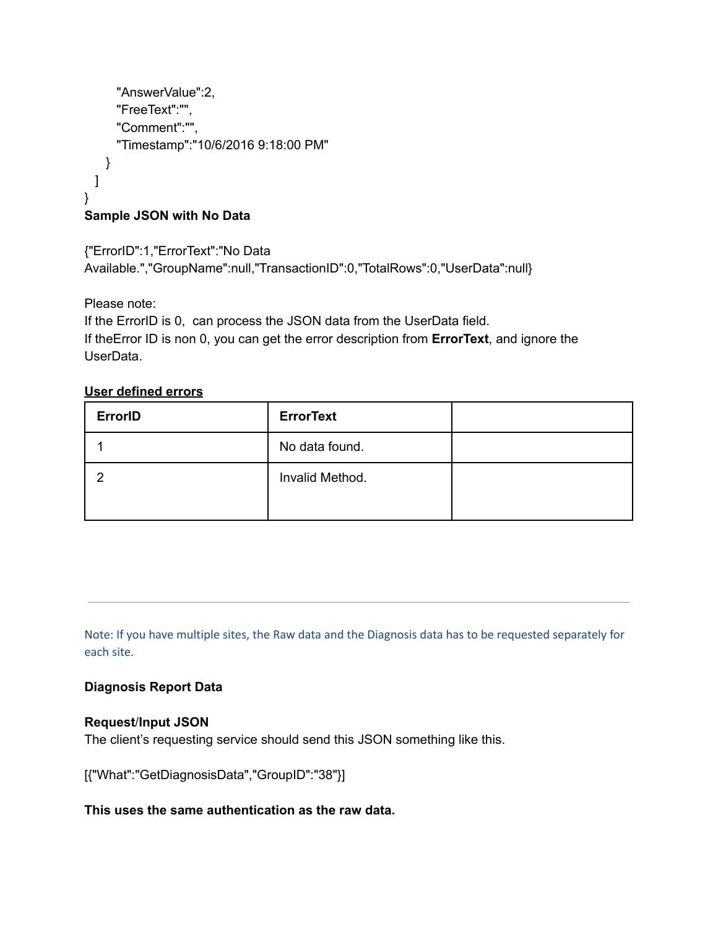```
"AnswerValue":2,
     "FreeText":"",
     "Comment":"",
     "Timestamp":"10/6/2016 9:18:00 PM"
   }
 ]
}
Sample JSON with No Data
```
{"ErrorID":1,"ErrorText":"No Data Available.","GroupName":null,"TransactionID":0,"TotalRows":0,"UserData":null}

Please note:

If the ErrorID is 0, can process the JSON data from the UserData field. If theError ID is non 0, you can get the error description from **ErrorText**, and ignore the UserData.

# **User defined errors**

| <b>ErrorID</b> | <b>ErrorText</b> |  |
|----------------|------------------|--|
|                | No data found.   |  |
|                | Invalid Method.  |  |

Note: If you have multiple sites, the Raw data and the Diagnosis data has to be requested separately for each site.

# **Diagnosis Report Data**

# **Request**/**Input JSON**

The client's requesting service should send this JSON something like this.

[{"What":"GetDiagnosisData","GroupID":"38"}]

# **This uses the same authentication as the raw data.**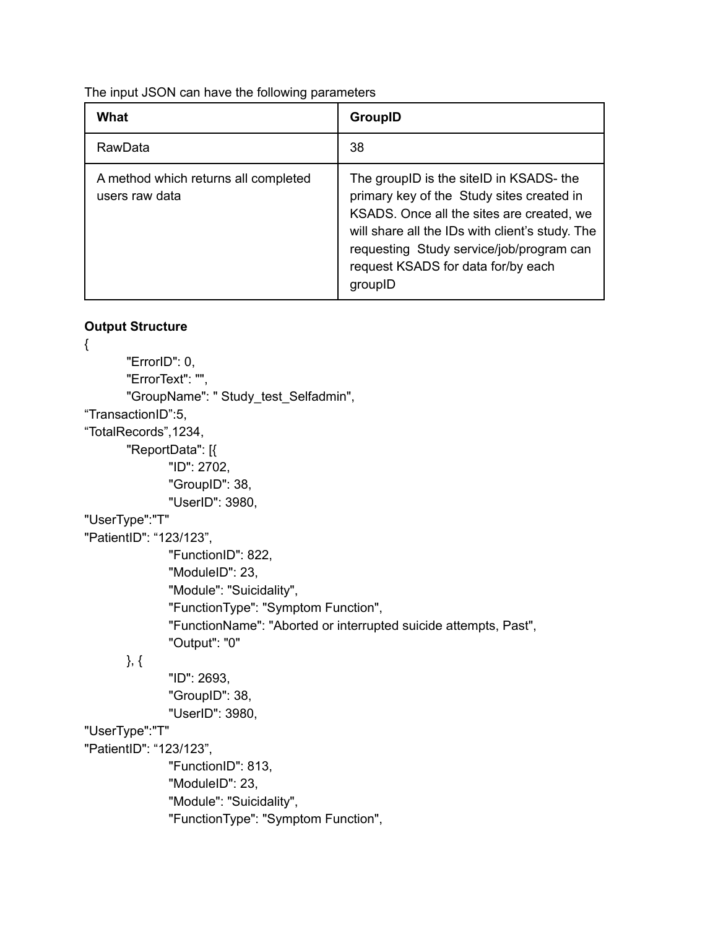The input JSON can have the following parameters

| What                                                   | GroupID                                                                                                                                                                                                                                                                           |
|--------------------------------------------------------|-----------------------------------------------------------------------------------------------------------------------------------------------------------------------------------------------------------------------------------------------------------------------------------|
| RawData                                                | 38                                                                                                                                                                                                                                                                                |
| A method which returns all completed<br>users raw data | The groupID is the siteID in KSADS- the<br>primary key of the Study sites created in<br>KSADS. Once all the sites are created, we<br>will share all the IDs with client's study. The<br>requesting Study service/job/program can<br>request KSADS for data for/by each<br>groupID |

### **Output Structure**

{ "ErrorID": 0, "ErrorText": "", "GroupName": " Study\_test\_Selfadmin", "TransactionID":5, "TotalRecords",1234, "ReportData": [{ "ID": 2702, "GroupID": 38, "UserID": 3980, "UserType":"T" "PatientID": "123/123", "FunctionID": 822, "ModuleID": 23, "Module": "Suicidality", "FunctionType": "Symptom Function", "FunctionName": "Aborted or interrupted suicide attempts, Past", "Output": "0" }, { "ID": 2693, "GroupID": 38, "UserID": 3980, "UserType":"T" "PatientID": "123/123", "FunctionID": 813, "ModuleID": 23, "Module": "Suicidality", "FunctionType": "Symptom Function",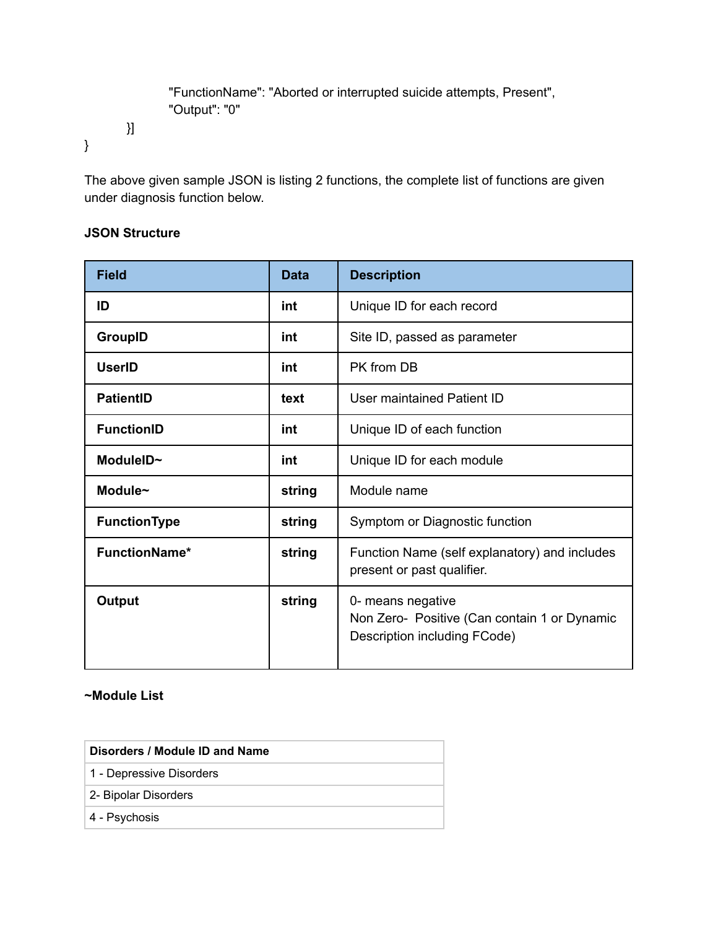```
"FunctionName": "Aborted or interrupted suicide attempts, Present",
"Output": "0"
```
The above given sample JSON is listing 2 functions, the complete list of functions are given under diagnosis function below.

### **JSON Structure**

}]

}

| <b>Field</b>         | <b>Data</b> | <b>Description</b>                                                                                |
|----------------------|-------------|---------------------------------------------------------------------------------------------------|
| ID                   | int         | Unique ID for each record                                                                         |
| <b>GroupID</b>       | int         | Site ID, passed as parameter                                                                      |
| <b>UserID</b>        | int         | PK from DB                                                                                        |
| <b>PatientID</b>     | text        | User maintained Patient ID                                                                        |
| <b>FunctionID</b>    | int         | Unique ID of each function                                                                        |
| ModuleID~            | int         | Unique ID for each module                                                                         |
| Module~              | string      | Module name                                                                                       |
| <b>FunctionType</b>  | string      | Symptom or Diagnostic function                                                                    |
| <b>FunctionName*</b> | string      | Function Name (self explanatory) and includes<br>present or past qualifier.                       |
| <b>Output</b>        | string      | 0- means negative<br>Non Zero- Positive (Can contain 1 or Dynamic<br>Description including FCode) |

### **~Module List**

| Disorders / Module ID and Name |
|--------------------------------|
| 1 - Depressive Disorders       |
| 2- Bipolar Disorders           |
| 4 - Psychosis                  |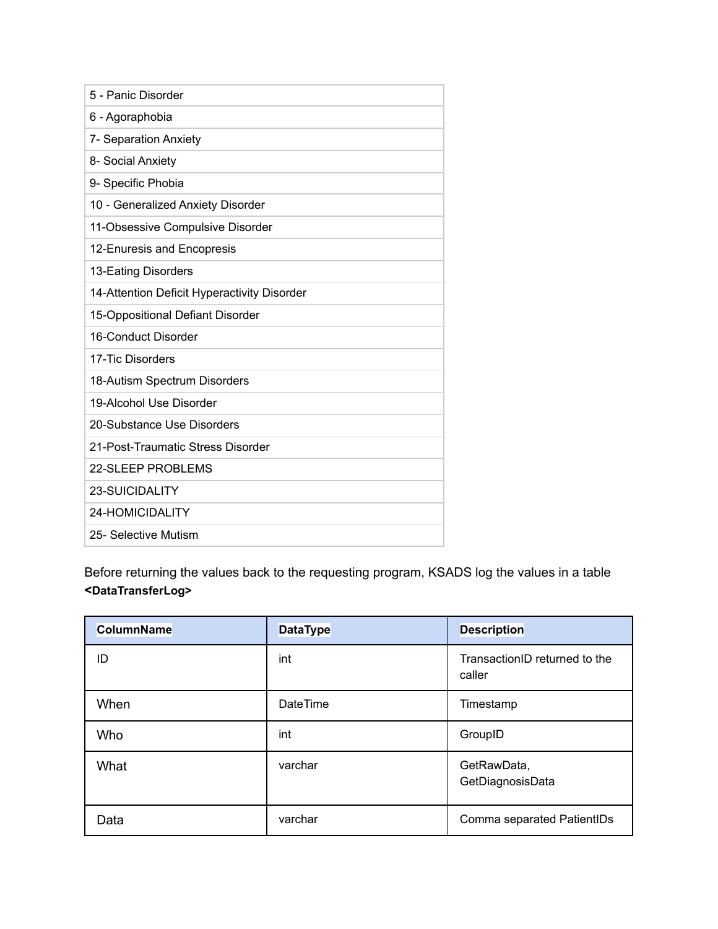| 5 - Panic Disorder                          |
|---------------------------------------------|
| 6 - Agoraphobia                             |
| 7- Separation Anxiety                       |
| 8- Social Anxiety                           |
| 9- Specific Phobia                          |
| 10 - Generalized Anxiety Disorder           |
| 11-Obsessive Compulsive Disorder            |
| 12-Enuresis and Encopresis                  |
| 13-Eating Disorders                         |
| 14-Attention Deficit Hyperactivity Disorder |
| 15-Oppositional Defiant Disorder            |
| 16-Conduct Disorder                         |
| 17-Tic Disorders                            |
| 18-Autism Spectrum Disorders                |
| 19-Alcohol Use Disorder                     |
| 20-Substance Use Disorders                  |
| 21-Post-Traumatic Stress Disorder           |
| 22-SLEEP PROBLEMS                           |
| <b>23-SUICIDALITY</b>                       |
| 24-HOMICIDALITY                             |
| 25- Selective Mutism                        |

Before returning the values back to the requesting program, KSADS log the values in a table **<DataTransferLog>**

| <b>ColumnName</b> | <b>DataType</b> | <b>Description</b>                      |
|-------------------|-----------------|-----------------------------------------|
| ID                | int             | TransactionID returned to the<br>caller |
| When              | <b>DateTime</b> | Timestamp                               |
| Who               | int             | GroupID                                 |
| What              | varchar         | GetRawData,<br>GetDiagnosisData         |
| Data              | varchar         | Comma separated PatientIDs              |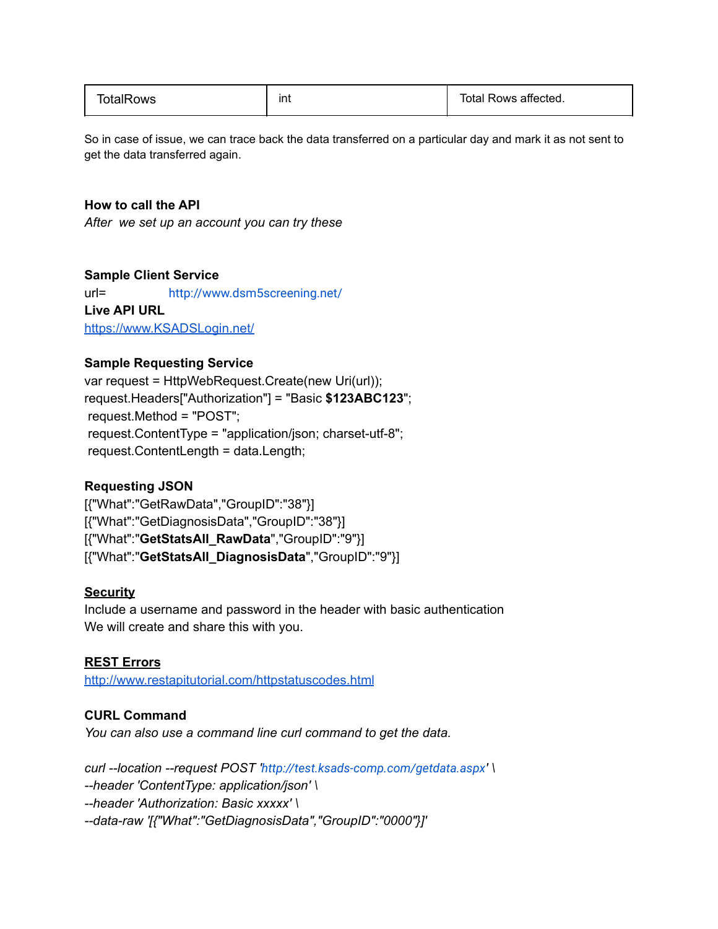| TotalRows | ınt | Total Rows affected. |
|-----------|-----|----------------------|
|-----------|-----|----------------------|

So in case of issue, we can trace back the data transferred on a particular day and mark it as not sent to get the data transferred again.

#### **How to call the API**

*After we set up an account you can try these*

#### **Sample Client Service**

url= [http://www.dsm5screening.net/](http://test.ksads-comp.com/getdata.aspx) **Live API URL** [https://www.KSADSLogin.net/](https://www.ksadslogin.net/)

#### **Sample Requesting Service**

var request = HttpWebRequest.Create(new Uri(url)); request.Headers["Authorization"] = "Basic **\$123ABC123**"; request.Method = "POST"; request.ContentType = "application/json; charset-utf-8"; request.ContentLength = data.Length;

#### **Requesting JSON**

[{"What":"GetRawData","GroupID":"38"}] [{"What":"GetDiagnosisData","GroupID":"38"}] [{"What":"**GetStatsAll\_RawData**","GroupID":"9"}] [{"What":"**GetStatsAll\_DiagnosisData**","GroupID":"9"}]

#### **Security**

Include a username and password in the header with basic authentication We will create and share this with you.

#### **REST Errors**

<http://www.restapitutorial.com/httpstatuscodes.html>

#### **CURL Command**

*You can also use a command line curl command to get the data.*

*curl --location --request POST '<http://test.ksads-comp.com/getdata.aspx>' \ --header 'ContentType: application/json' \ --header 'Authorization: Basic xxxxx' \ --data-raw '[{"What":"GetDiagnosisData","GroupID":"0000"}]'*